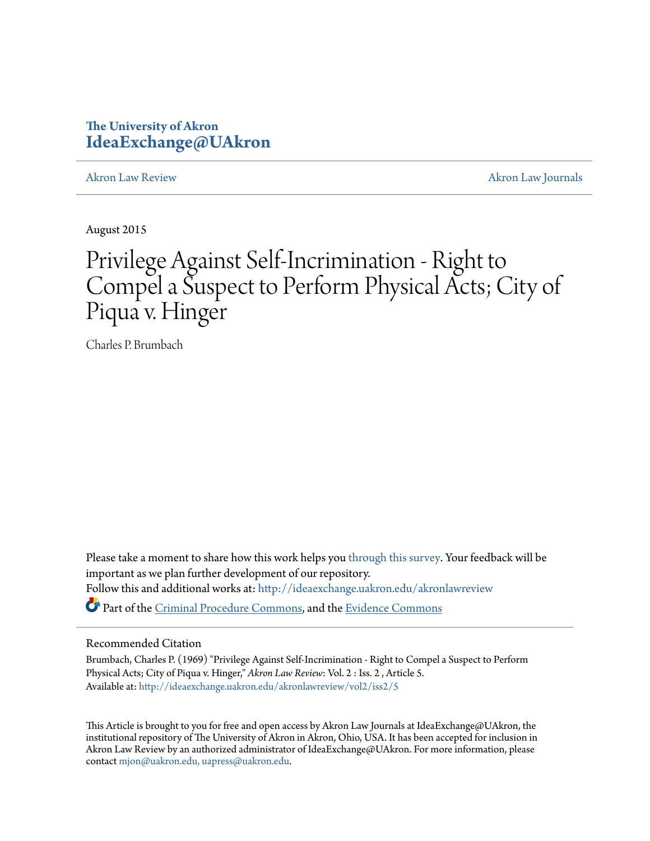## **The University of Akron [IdeaExchange@UAkron](http://ideaexchange.uakron.edu?utm_source=ideaexchange.uakron.edu%2Fakronlawreview%2Fvol2%2Fiss2%2F5&utm_medium=PDF&utm_campaign=PDFCoverPages)**

[Akron Law Review](http://ideaexchange.uakron.edu/akronlawreview?utm_source=ideaexchange.uakron.edu%2Fakronlawreview%2Fvol2%2Fiss2%2F5&utm_medium=PDF&utm_campaign=PDFCoverPages) [Akron Law Journals](http://ideaexchange.uakron.edu/akronlawjournals?utm_source=ideaexchange.uakron.edu%2Fakronlawreview%2Fvol2%2Fiss2%2F5&utm_medium=PDF&utm_campaign=PDFCoverPages)

August 2015

# Privilege Against Self-Incrimination - Right to Compel a Suspect to Perform Physical Acts; City of Piqua v. Hinger

Charles P. Brumbach

Please take a moment to share how this work helps you [through this survey.](http://survey.az1.qualtrics.com/SE/?SID=SV_eEVH54oiCbOw05f&URL=http://ideaexchange.uakron.edu/akronlawreview/vol2/iss2/5) Your feedback will be important as we plan further development of our repository. Follow this and additional works at: [http://ideaexchange.uakron.edu/akronlawreview](http://ideaexchange.uakron.edu/akronlawreview?utm_source=ideaexchange.uakron.edu%2Fakronlawreview%2Fvol2%2Fiss2%2F5&utm_medium=PDF&utm_campaign=PDFCoverPages) Part of the [Criminal Procedure Commons,](http://network.bepress.com/hgg/discipline/1073?utm_source=ideaexchange.uakron.edu%2Fakronlawreview%2Fvol2%2Fiss2%2F5&utm_medium=PDF&utm_campaign=PDFCoverPages) and the [Evidence Commons](http://network.bepress.com/hgg/discipline/601?utm_source=ideaexchange.uakron.edu%2Fakronlawreview%2Fvol2%2Fiss2%2F5&utm_medium=PDF&utm_campaign=PDFCoverPages)

#### Recommended Citation

Brumbach, Charles P. (1969) "Privilege Against Self-Incrimination - Right to Compel a Suspect to Perform Physical Acts; City of Piqua v. Hinger," *Akron Law Review*: Vol. 2 : Iss. 2 , Article 5. Available at: [http://ideaexchange.uakron.edu/akronlawreview/vol2/iss2/5](http://ideaexchange.uakron.edu/akronlawreview/vol2/iss2/5?utm_source=ideaexchange.uakron.edu%2Fakronlawreview%2Fvol2%2Fiss2%2F5&utm_medium=PDF&utm_campaign=PDFCoverPages)

This Article is brought to you for free and open access by Akron Law Journals at IdeaExchange@UAkron, the institutional repository of The University of Akron in Akron, Ohio, USA. It has been accepted for inclusion in Akron Law Review by an authorized administrator of IdeaExchange@UAkron. For more information, please contact [mjon@uakron.edu, uapress@uakron.edu.](mailto:mjon@uakron.edu,%20uapress@uakron.edu)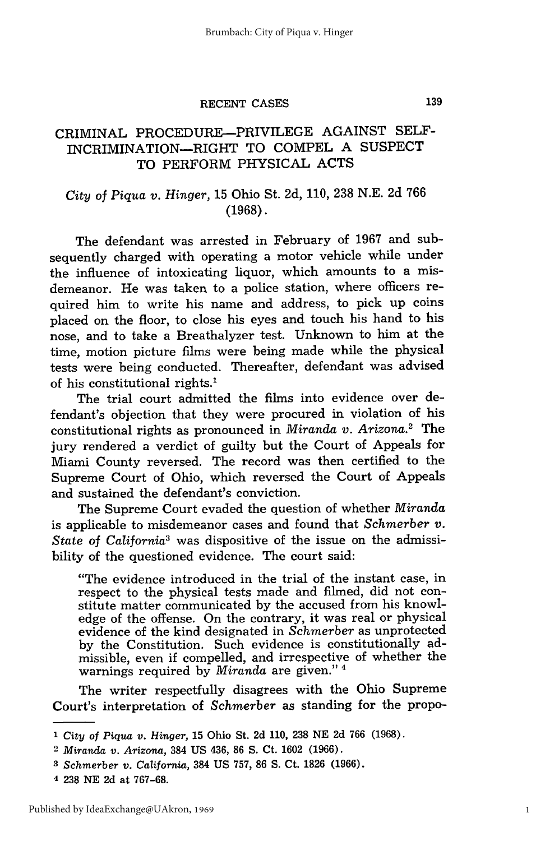#### RECENT CASES

### CRIMINAL PROCEDURE-PRIVILEGE AGAINST SELF-INCRIMINATION-RIGHT TO COMPEL A SUSPECT TO PERFORM PHYSICAL ACTS

#### *City* of *Piqua v. Hinger,* 15 Ohio St. 2d, 110, 238 N.E. 2d 766 (1968).

The defendant was arrested in February of 1967 and subsequently charged with operating a motor vehicle while under the influence of intoxicating liquor, which amounts to a misdemeanor. He was taken to a police station, where officers required him to write his name and address, to pick up coins placed on the floor, to close his eyes and touch his hand to his nose, and to take a Breathalyzer test. Unknown to him at the time, motion picture films were being made while the physical tests were being conducted. Thereafter, defendant was advised of his constitutional rights.1

The trial court admitted the films into evidence over defendant's objection that they were procured in violation of his constitutional rights as pronounced in *Miranda v. Arizona.2* The jury rendered a verdict of guilty but the Court of Appeals for Miami County reversed. The record was then certified to the Supreme Court of Ohio, which reversed the Court of Appeals and sustained the defendant's conviction.

The Supreme Court evaded the question of whether *Miranda* is applicable to misdemeanor cases and found that *Schmerber v. State of California3* was dispositive of the issue on the admissibility of the questioned evidence. The court said:

"The evidence introduced in the trial of the instant case, in respect to the physical tests made and filmed, did not constitute matter communicated by the accused from his knowledge of the offense. On the contrary, it was real or physical evidence of the kind designated in *Schmerber* as unprotected by the Constitution. Such evidence is constitutionally admissible, even if compelled, and irrespective of whether the warnings required by *Miranda* are given." 4

The writer respectfully disagrees with the Ohio Supreme Court's interpretation of *Schmerber* as standing for the propo-

1

**<sup>1</sup>** *City of Piqua v. Hinger,* 15 Ohio St. 2d **110,** 238 NE 2d 766 (1968).

<sup>2</sup>*Miranda v. Arizona,* 384 US 436, 86 **S.** Ct. 1602 (1966).

**<sup>3</sup>***Schmerber v. California,* 384 US 757, 86 **S.** Ct. 1826 (1966).

<sup>4 238</sup> NE 2d at 767-68.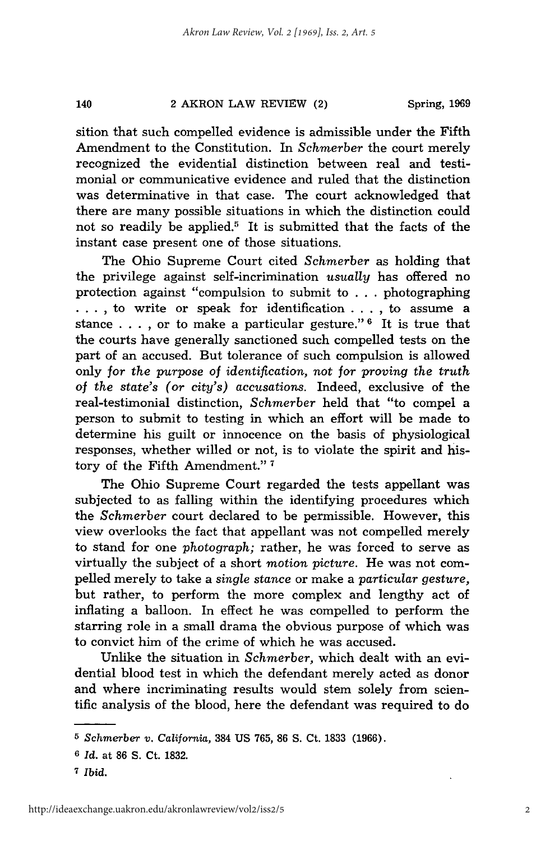#### 140 2 AKRON LAW REVIEW (2)

sition that such compelled evidence is admissible under the Fifth Amendment to the Constitution. In *Schmerber* the court merely recognized the evidential distinction between real and testimonial or communicative evidence and ruled that the distinction was determinative in that case. The court acknowledged that there are many possible situations in which the distinction could not so readily be applied.<sup>5</sup> It is submitted that the facts of the instant case present one of those situations.

The Ohio Supreme Court cited *Schmerber* as holding that the privilege against self-incrimination *usually* has offered no protection against "compulsion to submit to . . . photographing **. . .** , to write or speak for identification **. . .** , to assume a stance . . . , or to make a particular gesture." **6** It is true that the courts have generally sanctioned such compelled tests on the part of an accused. But tolerance of such compulsion is allowed only *for the purpose of identification,* not for *proving the truth of the state's (or city's) accusations.* Indeed, exclusive of the real-testimonial distinction, *Schmerber* held that "to compel a person to submit to testing in which an effort will be made to determine his guilt or innocence on the basis of physiological responses, whether willed or not, is to violate the spirit and history of the Fifth Amendment." **<sup>7</sup>**

The Ohio Supreme Court regarded the tests appellant was subjected to as falling within the identifying procedures which the *Schmerber* court declared to be permissible. However, this view overlooks the fact that appellant was not compelled merely to stand for one *photograph;* rather, he was forced to serve as virtually the subject of a short *motion picture.* He was not compelled merely to take a *single stance* or make a *particular gesture,* but rather, to perform the more complex and lengthy act of inflating a balloon. In effect he was compelled to perform the starring role in a small drama the obvious purpose of which was to convict him of the crime of which he was accused.

Unlike the situation in *Schmerber,* which dealt with an evidential blood test in which the defendant merely acted as donor and where incriminating results would stem solely from scientific analysis of the blood, here the defendant was required to do

*<sup>5</sup> Schmerber v. California,* 384 US 765, 86 **S.** Ct. 1833 (1966).

**<sup>6</sup>***Id.* at 86 **S.** Ct. 1832.

**<sup>7</sup>** *Ibid.*